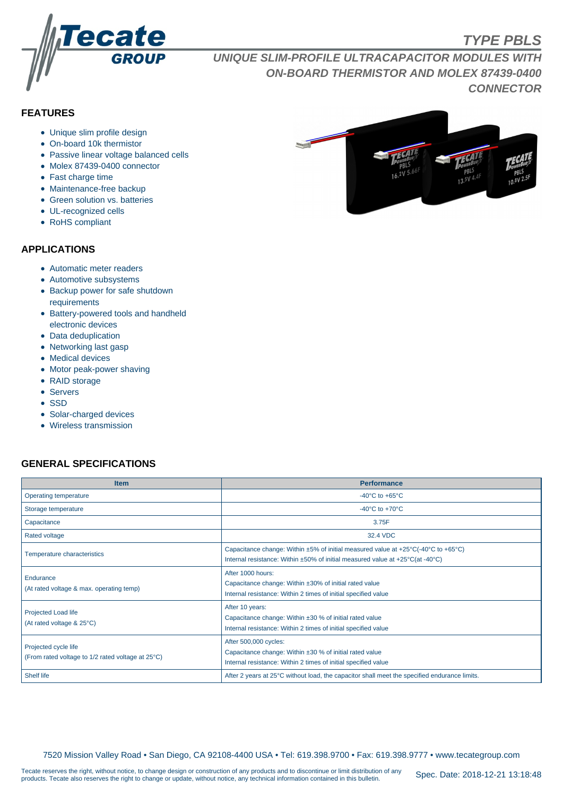

# **TYPE PBLS**

**UNIQUE SLIM-PROFILE ULTRACAPACITOR MODULES WITH ON-BOARD THERMISTOR AND MOLEX 87439-0400 CONNECTOR**

# **FEATURES**

- Unique slim profile design
- On-board 10k thermistor
- Passive linear voltage balanced cells
- Molex 87439-0400 connector
- Fast charge time
- Maintenance-free backup
- Green solution vs. batteries
- UL-recognized cells
- RoHS compliant

#### **APPLICATIONS**

- Automatic meter readers
- Automotive subsystems
- Backup power for safe shutdown requirements
- Battery-powered tools and handheld electronic devices
- Data deduplication
- Networking last gasp
- Medical devices
- Motor peak-power shaving
- RAID storage
- Servers
- SSD
- Solar-charged devices
- Wireless transmission

## **GENERAL SPECIFICATIONS**

| <b>Item</b>                                                               | <b>Performance</b>                                                                                                                                                                            |  |  |  |  |
|---------------------------------------------------------------------------|-----------------------------------------------------------------------------------------------------------------------------------------------------------------------------------------------|--|--|--|--|
| Operating temperature                                                     | $-40^{\circ}$ C to $+65^{\circ}$ C                                                                                                                                                            |  |  |  |  |
| Storage temperature                                                       | -40 $\mathrm{^{\circ}C}$ to +70 $\mathrm{^{\circ}C}$                                                                                                                                          |  |  |  |  |
| Capacitance                                                               | 3.75F                                                                                                                                                                                         |  |  |  |  |
| Rated voltage                                                             | 32.4 VDC                                                                                                                                                                                      |  |  |  |  |
| <b>Temperature characteristics</b>                                        | Capacitance change: Within ±5% of initial measured value at +25°C(-40°C to +65°C)<br>Internal resistance: Within $\pm 50\%$ of initial measured value at $+25\degree C$ (at -40 $\degree C$ ) |  |  |  |  |
| Endurance<br>(At rated voltage & max. operating temp)                     | After 1000 hours:<br>Capacitance change: Within ±30% of initial rated value<br>Internal resistance: Within 2 times of initial specified value                                                 |  |  |  |  |
| Projected Load life<br>(At rated voltage & 25°C)                          | After 10 years:<br>Capacitance change: Within $\pm 30$ % of initial rated value<br>Internal resistance: Within 2 times of initial specified value                                             |  |  |  |  |
| Projected cycle life<br>(From rated voltage to 1/2 rated voltage at 25°C) | After 500,000 cycles:<br>Capacitance change: Within ±30 % of initial rated value<br>Internal resistance: Within 2 times of initial specified value                                            |  |  |  |  |
| Shelf life                                                                | After 2 years at 25°C without load, the capacitor shall meet the specified endurance limits.                                                                                                  |  |  |  |  |

7520 Mission Valley Road • San Diego, CA 92108-4400 USA • Tel: 619.398.9700 • Fax: 619.398.9777 • www.tecategroup.com